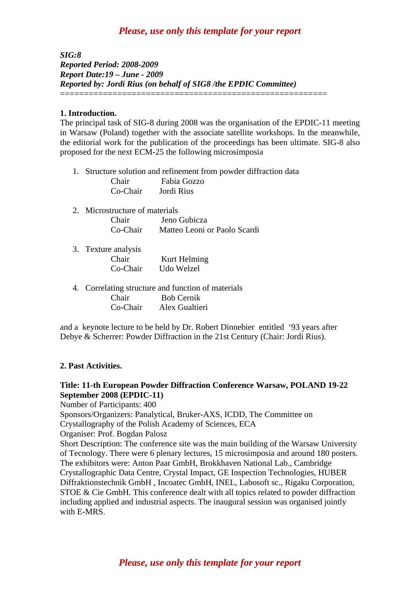## *Please, use only this template for your report*

*SIG:8 Reported Period: 2008-2009 Report Date:19 – June - 2009 Reported by: Jordi Rius (on behalf of SIG8 /the EPDIC Committee)*  ========================================================

#### **1. Introduction.**

The principal task of SIG-8 during 2008 was the organisation of the EPDIC-11 meeting in Warsaw (Poland) together with the associate satellite workshops. In the meanwhile, the editorial work for the publication of the proceedings has been ultimate. SIG-8 also proposed for the next ECM-25 the following microsimposia

- 1. Structure solution and refinement from powder diffraction data Chair Fabia Gozzo
	- Co-Chair Jordi Rius
- 2. Microstructure of materials Chair Jeno Gubicza Co-Chair Matteo Leoni or Paolo Scardi
- 3. Texture analysis Chair Kurt Helming Co-Chair Udo Welzel
- 4. Correlating structure and function of materials Chair Bob Cernik Co-Chair Alex Gualtieri

and a keynote lecture to be held by Dr. Robert Dinnebier entitled '93 years after Debye & Scherrer: Powder Diffraction in the 21st Century (Chair: Jordi Rius).

#### **2. Past Activities.**

## **Title: 11-th European Powder Diffraction Conference Warsaw, POLAND 19-22 September 2008 (EPDIC-11)**

Number of Participants: 400

Sponsors/Organizers: Panalytical, Bruker-AXS, ICDD, The Committee on Crystallography of the Polish Academy of Sciences, ECA

Organiser: Prof. Bogdan Palosz

Short Description: The conference site was the main building of the Warsaw University of Tecnology. There were 6 plenary lectures, 15 microsimposia and around 180 posters. The exhibitors were: Anton Paar GmbH, Brokkhaven National Lab., Cambridge Crystallographic Data Centre, Crystal Impact, GE Inspection Technologies, HUBER Diffraktionstechnik GmbH , Incoatec GmbH, INEL, Labosoft sc., Rigaku Corporation, STOE & Cie GmbH. This conference dealt with all topics related to powder diffraction including applied and industrial aspects. The inaugural session was organised jointly with E-MRS.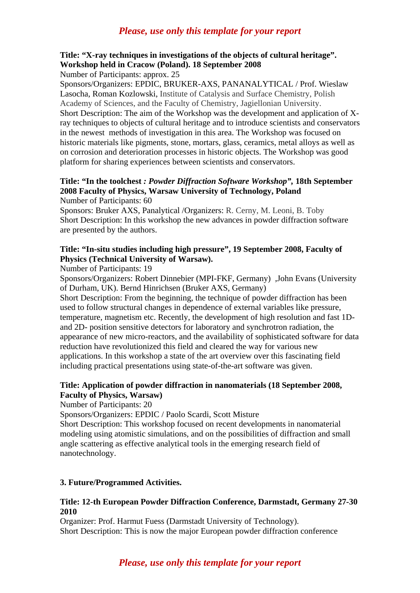## *Please, use only this template for your report*

# **Title: "X-ray techniques in investigations of the objects of cultural heritage". Workshop held in Cracow (Poland). 18 September 2008**

Number of Participants: approx. 25

Sponsors/Organizers: EPDIC, BRUKER-AXS, PANANALYTICAL / Prof. Wieslaw Lasocha, Roman Kozlowski, Institute of Catalysis and Surface Chemistry, Polish Academy of Sciences, and the Faculty of Chemistry, Jagiellonian University. Short Description: The aim of the Workshop was the development and application of Xray techniques to objects of cultural heritage and to introduce scientists and conservators in the newest methods of investigation in this area. The Workshop was focused on historic materials like pigments, stone, mortars, glass, ceramics, metal alloys as well as on corrosion and deterioration processes in historic objects. The Workshop was good platform for sharing experiences between scientists and conservators.

#### **Title: "In the toolchest** *: Powder Diffraction Software Workshop",* **18th September 2008 [Faculty of Physics,](http://if.pw.edu.pl/sub/english/index.html) [Warsaw University of Technology](http://www.pw.edu.pl/english/), Poland**  Number of Participants: 60

Sponsors: Bruker AXS, Panalytical /Organizers: R. Cerny, M. Leoni, B. Toby Short Description: In this workshop the new advances in powder diffraction software are presented by the authors.

## **Title: "In-situ studies including high pressure", 19 September 2008, Faculty of Physics (Technical University of Warsaw).**

### Number of Participants: 19

Sponsors/Organizers: Robert Dinnebier (MPI-FKF, Germany) ,John Evans (University of Durham, UK). Bernd Hinrichsen (Bruker AXS, Germany)

Short Description: From the beginning, the technique of powder diffraction has been used to follow structural changes in dependence of external variables like pressure, temperature, magnetism etc. Recently, the development of high resolution and fast 1Dand 2D- position sensitive detectors for laboratory and synchrotron radiation, the appearance of new micro-reactors, and the availability of sophisticated software for data reduction have revolutionized this field and cleared the way for various new applications. In this workshop a state of the art overview over this fascinating field including practical presentations using state-of-the-art software was given.

## **Title: Application of powder diffraction in nanomaterials (18 September 2008, Faculty of Physics, Warsaw)**

Number of Participants: 20

Sponsors/Organizers: EPDIC / Paolo Scardi, Scott Misture

Short Description: This workshop focused on recent developments in nanomaterial modeling using atomistic simulations, and on the possibilities of diffraction and small angle scattering as effective analytical tools in the emerging research field of nanotechnology.

### **3. Future/Programmed Activities.**

## **Title: 12-th European Powder Diffraction Conference, Darmstadt, Germany 27-30 2010**

Organizer: Prof. Harmut Fuess (Darmstadt University of Technology). Short Description: This is now the major European powder diffraction conference

## *Please, use only this template for your report*